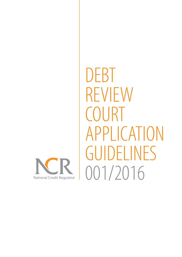

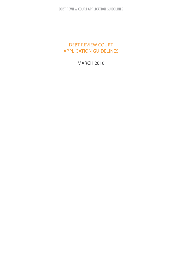# DEBT REVIEW COURT APPLICATION GUIDELINES

MARCH 2016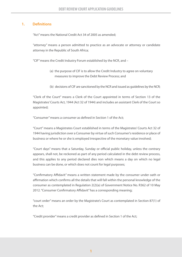## **1. Definitions**

"Act" means the National Credit Act 34 of 2005 as amended;

"attorney" means a person admitted to practice as an advocate or attorney or candidate attorney in the Republic of South Africa;

"CIF" means the Credit Industry Forum established by the NCR, and –

- (a) the purpose of CIF is to allow the Credit Industry to agree on voluntary measures to improve the Debt Review Process; and
- (b) decisions of CIF are sanctioned by the NCR and issued as guidelines by the NCR;

"Clerk of the Court" means a Clerk of the Court appointed in terms of Section 13 of the Magistrates' Courts Act, 1944 (Act 32 of 1944) and includes an assistant Clerk of the Court so appointed;

"Consumer" means a consumer as defined in Section 1 of the Act;

"Court" means a Magistrates Court established in terms of the Magistrates' Courts Act 32 of 1944 having jurisdiction over a Consumer by virtue of such Consumer's residence or place of business or where he or she is employed irrespective of the monetary value involved;

"Court days" means that a Saturday, Sunday or official public holiday, unless the contrary appears, shall not, be reckoned as part of any period calculated in the debt review process, and this applies to any period declared dies non which means a day on which no legal business can be done, or which does not count for legal purposes;

"Confirmatory Affidavit" means a written statement made by the consumer under oath or affirmation which confirms all the details that will fall within the personal knowledge of the consumer as contemplated in Regulation 2(2)(a) of Government Notice No. R362 of 10 May 2012. "Consumer Confirmatory Affidavit" has a corresponding meaning;

"court order" means an order by the Magistrate's Court as contemplated in Section 87(1) of the Act;

"Credit provider" means a credit provider as defined in Section 1 of the Act;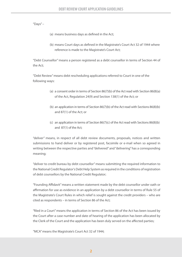"Days" $-$ 

- (a) means business days as defined in the Act;
- (b) means Court days as defined in the Magistrate's Court Act 32 of 1944 where reference is made to the Magistrate's Court Act;

"Debt Counsellor" means a person registered as a debt counsellor in terms of Section 44 of the Act;

"Debt Review" means debt rescheduling applications referred to Court in one of the following ways:

- (a) a consent order in terms of Section 86(7)(b) of the Act read with Section 86(8)(a) of the Act, Regulation 24(9) and Section 138(1) of the Act; or
- (b) an application in terms of Section  $86(7)(b)$  of the Act read with Sections  $86(8)(b)$ and 87(1) of the Act; or
- (c) an application in terms of Section  $86(7)(c)$  of the Act read with Sections  $86(8)(b)$ and 87(1) of the Act;

"deliver" means, in respect of all debt review documents, proposals, notices and written submissions to hand deliver or by registered post, facsimile or e-mail when so agreed in writing between the respective parties and "delivered" and "delivering" has a corresponding meaning;

"deliver to credit bureau by debt counsellor" means submitting the required information to the National Credit Regulator's Debt Help System as required in the conditions of registration of debt counsellors by the National Credit Regulator;

"Founding Affidavit" means a written statement made by the debt counsellor under oath or affirmation for use as evidence in an application by a debt counsellor in terms of Rule 55 of the Magistrate's Court Rules in which relief is sought against the credit providers – who are cited as respondents – in terms of Section 86 of the Act;

"filed in a Court" means the application in terms of Section 86 of the Act has been issued by the Court after a case number and date of hearing of the application has been allocated by the Clerk of the Court and the application has been duly served on the affected parties;

"MCA" means the Magistrate's Court Act 32 of 1944;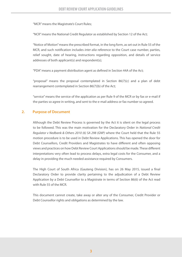"MCR" means the Magistrate's Court Rules;

"NCR" means the National Credit Regulator as established by Section 12 of the Act;

"Notice of Motion" means the prescribed format, in the long form, as set out in Rule 55 of the MCR, and such notification includes *inter alia* reference to the Court case number, parties, relief sought, date of hearing, instructions regarding opposition, and details of service addresses of both applicant(s) and respondent(s);

"PDA" means a payment distribution agent as defined in Section 44A of the Act;

"proposal" means the proposal contemplated in Section 86(7)(c) and a plan of debt rearrangement contemplated in Section 86(7)(b) of the Act;

"service" means the service of the application as per Rule 9 of the MCR or by fax or e-mail if the parties so agree in writing, and sent to the e-mail address or fax number so agreed.

## **2. Purpose of Document**

Although the Debt Review Process is governed by the Act it is silent on the legal process to be followed. This was the main motivation for the Declaratory Order in *National Credit Regulator v Nedbank & Others 2010 (6) SA 298 (GNP)* where the Court held that the Rule 55 motion procedure is to be used in Debt Review Applications. This has opened the door for Debt Counsellors, Credit Providers and Magistrates to have different and often opposing views and practices on how Debt Review Court Applications should be made. These different interpretations very often lead to process delays, extra legal costs for the Consumer, and a delay in providing the much needed assistance required by Consumers.

The High Court of South Africa (Gauteng Division), has on 26 May 2015, issued a final Declaratory Order to provide clarity pertaining to the adjudication of a Debt Review Application by a Debt Counsellor to a Magistrate in terms of Section 86(6) of the Act read with Rule 55 of the MCR.

This document cannot create, take away or alter any of the Consumer, Credit Provider or Debt Counsellor rights and obligations as determined by the law.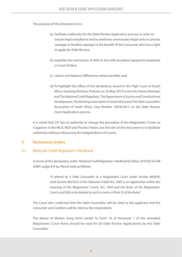The purpose of this document is to –

- (a) facilitate uniformity for the Debt Review Application process in order to ensure legal compliance and to avoid any unnecessary legal costs or process wastage or timeline wastage to the benefit of the Consumer who has a right to apply for Debt Review;
- (b) expedite the restructure of debt in line with accepted repayment proposals or Court Orders;
- (c) reduce end balance differences where possible; and
- (d) To highlight the effect of the declaratory issued in the High Court of South Africa, Gauteng Division, Pretoria, on 26 May 2015 in *Van Der Hoven Attorneys and The National Credit Regulator, The Department of Justice and Constitutional Development, The Banking Association of South Africa and The Debt Counsellors Association of South Africa, Case Number 10918/2015* on the Debt Review Court Application process.

It is noted that CIF has no authority to change the procedure of the Magistrates' Courts as it appears in the MCA, MCR and Practice Notes, but the aim of this document is to facilitate uniformity without influencing the independence of Courts.

## **3. Declaratory Orders**

## 3.1. National Credit Regulator v Nedbank

In terms of the declaratory order: *National Credit Regulator v Nedbank & Others 2010 (6) SA 298 (GNP)* Judge B R du Plessis held as follows:

> *"A referral by a Debt Counsellor to a Magistrate's Court under Section 86(8)(b) (and Section 86(7)(c)) of the National Credit Act, 2005 is an application within the meaning of the Magistrates' Courts Act, 1944 and the Rules of the Magistrates' Courts and falls to be treated as such in terms of Rule 55 of the Rules."*

The Court also confirmed that the Debt Counsellor will be cited as the applicant and the Consumer and Creditors will be cited as the respondents.

The Notice of Motion (long form) similar to Form 1A of Annexure 1 of the amended Magistrates' Court Rules should be used for all Debt Review Applications by the Debt Counsellor.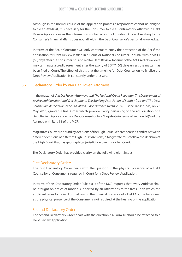Although in the normal course of the application process a respondent cannot be obliged to file an Affidavit, it is necessary for the Consumer to file a Confirmatory Affidavit in Debt Review Applications as the information contained in the Founding Affidavit relating to the Consumer's financial affairs does not fall within the Debt Counsellor's personal knowledge.

In terms of the Act, a Consumer will only continue to enjoy the protection of the Act if the application for Debt Review is filed in a Court or National Consumer Tribunal within SIXTY (60) days after the Consumer has applied for Debt Review. In terms of the Act, Credit Providers may terminate a credit agreement after the expiry of SIXTY (60) days unless the matter has been filed at Court. The effect of this is that the timeline for Debt Counsellors to finalise the Debt Review Application is constantly under pressure.

## 3.2. Declaratory Order by Van Der Hoven Attorneys

 In the matter of *Van Der Hoven Attorneys and The National Credit Regulator, The Department of Justice and Constitutional Development, The Banking Association of South Africa and The Debt Counsellors Association of South Africa, Case Number 10918/2014*, Justice Jansen has, on 26 May 2015, granted a final Order which provide clarity pertaining to the adjudication of a Debt Review Application by a Debt Counsellor to a Magistrate in terms of Section 86(6) of the Act read with Rule 55 of the MCR.

 Magistrate Courts are bound by decisions of the High Court. Where there is a conflict between different decisions of different High Court divisions, a Magistrate must follow the decision of the High Court that has geographical jurisdiction over his or her Court.

The Declaratory Order has provided clarity on the following eight issues:

## First Declaratory Order:

The first Declaratory Order deals with the question if the physical presence of a Debt Counsellor or Consumer is required in Court for a Debt Review Application.

In terms of this Declaratory Order Rule 55(1) of the MCR requires that every Affidavit shall be brought on notice of motion supported by an Affidavit as to the facts upon which the applicant relies for relief. For that reason the physical presence of a Debt Counsellor as well as the physical presence of the Consumer is not required at the hearing of the application.

## Second Declaratory Order:

The second Declaratory Order deals with the question if a Form 16 should be attached to a Debt Review Application.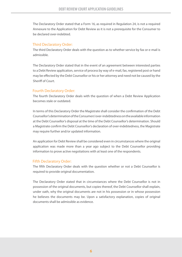The Declaratory Order stated that a Form 16, as required in Regulation 24, is not a required Annexure to the Application for Debt Review as it is not a prerequisite for the Consumer to be declared over-indebted.

## Third Declaratory Order:

The third Declaratory Order deals with the question as to whether service by fax or e-mail is admissible.

The Declaratory Order stated that in the event of an agreement between interested parties to a Debt Review application, service of process by way of e-mail, fax, registered post or hand may be effected by the Debt Counsellor or his or her attorney and need not be caused by the Sheriff of Court.

## Fourth Declaratory Order:

The fourth Declaratory Order deals with the question of when a Debt Review Application becomes stale or outdated.

In terms of this Declaratory Order the Magistrate shall consider the confirmation of the Debt Counsellor's determination of the Consumers' over-indebtedness on the available information at the Debt Counsellor's disposal at the time of the Debt Counsellor's determination. Should a Magistrate confirm the Debt Counsellor's declaration of over-indebtedness, the Magistrate may require further and/or updated information.

An application for Debt Review shall be considered even in circumstances where the original application was made more than a year ago subject to the Debt Counsellor providing information to prove active negotiations with at least one of the respondents.

## Fifth Declaratory Order:

The fifth Declaratory Order deals with the question whether or not a Debt Counsellor is required to provide original documentation.

The Declaratory Order stated that in circumstances where the Debt Counsellor is not in possession of the original documents, but copies thereof, the Debt Counsellor shall explain, under oath, why the original documents are not in his possession or in whose possession he believes the documents may be. Upon a satisfactory explanation, copies of original documents shall be admissible as evidence.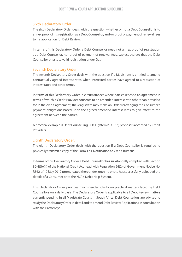## Sixth Declaratory Order:

The sixth Declaratory Order deals with the question whether or not a Debt Counsellor is to annex proof of his registration as a Debt Counsellor, and/or proof of payment of renewal fees to his application for Debt Review.

In terms of this Declaratory Order a Debt Counsellor need not annex proof of registration as a Debt Counsellor, nor proof of payment of renewal fees, subject thereto that the Debt Counsellor attests to valid registration under Oath.

## Seventh Declaratory Order:

The seventh Declaratory Order deals with the question if a Magistrate is entitled to amend contractually agreed interest rates when interested parties have agreed to a reduction of interest rates and other terms.

In terms of this Declaratory Order in circumstances where parties reached an agreement in terms of which a Credit Provider consents to an amended interest rate other than provided for in the credit agreement, the Magistrate may make an Order rearranging the Consumer's payment obligations based upon the agreed amended interest rates to give effect to the agreement between the parties.

A practical example is Debt Counselling Rules System ("DCRS") proposals accepted by Credit Providers.

## Eighth Declaratory Order:

The eighth Declaratory Order deals with the question if a Debt Counsellor is required to physically transmit a copy of the Form 17.1 Notification to Credit Bureaus.

In terms of this Declaratory Order a Debt Counsellor has substantially complied with Section 86(4)(b)(ii) of the National Credit Act, read with Regulation 24(2) of Government Notice No. R362 of 10 May 2012 promulgated thereunder, once he or she has successfully uploaded the details of a Consumer onto the NCR's Debit Help System.

This Declaratory Order provides much-needed clarity on practical matters faced by Debt Counsellors on a daily basis. The Declaratory Order is applicable to all Debt Review matters currently pending in all Magistrate Courts in South Africa. Debt Counsellors are advised to study the Declaratory Order in detail and to amend Debt Review Applications in consultation with their attorneys.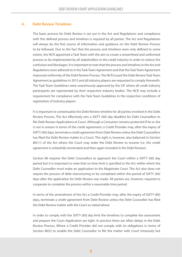### **4. Debt Review Timelines**

The basic process for Debt Review is set out in the Act and Regulations and compliance with this defined process and timelines is required by all parties. The Act and Regulations will always be the first source of information and guidance on the Debt Review Process to be followed. Due to the fact that the process and timelines were only defined to some extent, the NCR appointed a Task Team with the aim to create a streamlined and uniformed process to be implemented by all stakeholders in the credit industry in order to reduce the confusion and blockages. It is important to note that the process and timelines in the Act and Regulations were adhered to in the Task Team Agreement and that the Task Team Agreement improved uniformity of the Debt Review Process. The NCR issued the Debt Review Task Team Agreement as guidelines in 2015 and all industry players are requested to comply therewith. The Task Team Guidelines were unanimously approved by the CIF where all credit industry participants are represented by their respective industry bodies. The NCR may include a requirement for compliance with the Task Team Guidelines in the respective conditions of registration of industry players.

It is important to contextualise the Debt Review timeline for all parties involved in the Debt Review Process. The Act effectively sets a SIXTY (60) day deadline for Debt Counsellors to file Debt Review Applications at Court. Although a Consumer remains protected if he or she is not in arrears in terms of the credit agreement, a Credit Provider may, after the expiry of SIXTY (60) days, terminate a credit agreement from Debt Review unless the Debt Counsellors has filed the Debt Review matter in a Court. This right is, however, also balanced in Section 86(11) of the Act where the Court may order the Debt Review to resume (i.e. the credit agreement is unlawfully terminated and then again included in the Debt Review).

Section 86 requires the Debt Counsellors to approach the Court within a SIXTY (60) day period but it is important to note that no time limit is specified in the Act within which the Debt Counsellor must make an application to the Magistrate Court. The Act also does not require the process of debt restructuring to be completed within the period of SIXTY (60) days after the application for Debt Review was made. All parties are, however, required to cooperate to complete the process within a reasonable time period.

In terms of the amendment of the Act a Credit Provider may, after the expiry of SIXTY (60) days, terminate a credit agreement from Debt Review unless the Debt Counsellor has filed the Debt Review matter with the Court as stated above.

In order to comply with the SIXTY (60) day limit the timelines to complete the assessment and prepare the Court Application are tight. In practice there are often delays in the Debt Review Process. Where a Credit Provider did not comply with its obligations in terms of Section 86(5) to enable the Debt Counsellor to file the matter with Court timeously but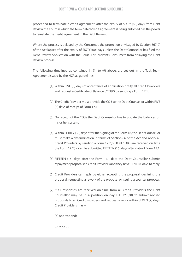proceeded to terminate a credit agreement, after the expiry of SIXTY (60) days from Debt Review the Court in which the terminated credit agreement is being enforced has the power to reinstate the credit agreement in the Debt Review.

Where the process is delayed by the Consumer, the protection envisaged by Section 86(10) of the Act lapses after the expiry of SIXTY (60) days unless the Debt Counsellor has filed the Debt Review Application with the Court. This prevents Consumers from delaying the Debt Review process.

The following timelines, as contained in (1) to (9) above, are set out in the Task Team Agreement issued by the NCR as guidelines:

- (1) Within FIVE (5) days of acceptance of application notify all Credit Providers and request a Certificate of Balance ("COB") by sending a Form 17.1.
- (2) The Credit Provider must provide the COB to the Debt Counsellor within FIVE (5) days of receipt of Form 17.1.
- (3) On receipt of the COBs the Debt Counsellor has to update the balances on his or her system.
- (4) Within THIRTY (30) days after the signing of the Form 16, the Debt Counsellor must make a determination in terms of Section 86 of the Act and notify all Credit Providers by sending a Form 17.2(b). If all COB's are received on time the Form 17.2(b) can be submitted FIFTEEN (15) days after date of Form 17.1.
- (5) FIFTEEN (15) days after the Form 17.1 date the Debt Counsellor submits repayment proposals to Credit Providers and they have TEN (10) days to reply.
- (6) Credit Providers can reply by either accepting the proposal, declining the proposal, requesting a rework of the proposal or issuing a counter proposal.
- (7) If all responses are received on time from all Credit Providers the Debt Counsellor may be in a position on day THIRTY (30) to submit revised proposals to all Credit Providers and request a reply within SEVEN (7) days. Credit Providers may –
	- (a) not respond;
	- (b) accept;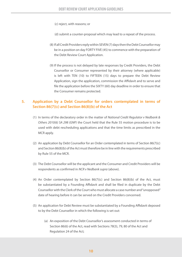(c) reject, with reasons; or

(d) submit a counter-proposal which may lead to a repeat of the process.

- (8) If all Credit Providers reply within SEVEN (7) days then the Debt Counsellor may be in a position on day FORTY FIVE (45) to commence with the preparation of the Debt Review Court Application.
- (9) If the process is not delayed by late responses by Credit Providers, the Debt Counsellor or Consumer represented by their attorney (where applicable) is left with TEN (10) to FIFTEEN (15) days to prepare the Debt Review Application, sign the application, commission the Affidavit and to serve and file the application before the SIXTY (60) day deadline in order to ensure that the Consumer remains protected.

## **5. Application by a Debt Counsellor for orders contemplated in terms of Section 86(7)(c) and Section 86(8)(b) of the Act**

- (1) In terms of the declaratory order in the matter of *National Credit Regulator v Nedbank & Others 2010(6) SA 298 (GNP)* the Court held that the Rule 55 motion procedure is to be used with debt rescheduling applications and that the time limits as prescribed in the MCR apply.
- (2) An application by Debt Counsellor for an Order contemplated in terms of Section 86(7)(c) and Section 86(8)(b) of the Act must therefore be in line with the requirements prescribed by Rule 55 of the MCR.
- (3) The Debt Counsellor will be the applicant and the Consumer and Credit Providers will be respondents as confirmed in *NCR v Nedbank supra* (above).
- (4) An Order contemplated by Section  $86(7)(c)$  and Section  $86(8)(b)$  of the Act, must be substantiated by a Founding Affidavit and shall be filed in duplicate by the Debt Counsellor with the Clerk of the Court who must allocate a case number and "unopposed" date of hearing before it can be served on the Credit Providers concerned.
- (5) An application for Debt Review must be substantiated by a Founding Affidavit deposed to by the Debt Counsellor in which the following is set out:
	- (a) An exposition of the Debt Counsellor's assessment conducted in terms of Section 86(6) of the Act, read with Sections 78(3), 79, 80 of the Act and Regulation 24 of the Act;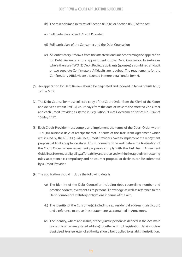- (b) The relief claimed in terms of Section 86(7)(c) or Section 86(8) of the Act;
- (c) Full particulars of each Credit Provider;
- (d) Full particulars of the Consumer and the Debt Counsellor;
- (e) A Confirmatory Affidavit from the affected Consumer confirming the application for Debt Review and the appointment of the Debt Counsellor. In instances where there are TWO (2) Debit Review applicants (spouses) a combined affidavit or two separate Confirmatory Affidavits are required. The requirements for the Confirmatory Affidavit are discussed in more detail under Item 6.
- (6) An application for Debt Review should be paginated and indexed in terms of Rule 63(3) of the MCR.
- (7) The Debt Counsellor must collect a copy of the Court Order from the Clerk of the Court and deliver it within FIVE (5) Court days from the date of issue to the affected Consumer and each Credit Provider, as stated in Regulation 2(3) of Government Notice No. R362 of 10 May 2012.
- (8) Each Credit Provider must comply and implement the terms of the Court Order within TEN (10) business days of receipt thereof. In terms of the Task Team Agreement which was issued by the NCR as guidelines, Credit Providers have to implement the repayment proposal at final acceptance stage. This is normally done well before the finalisation of the Court Order. Where repayment proposals comply with the Task Team Agreement Guidelines in terms of eligibility, affordability and are solved within the agreed restructuring rules, acceptance is compulsory and no counter proposal or declines can be submitted by a Credit Provider.
- (9) The application should include the following details:
	- (a) The identity of the Debt Counsellor including debt counselling number and practice address, averment as to personal knowledge as well as reference to the Debt Counsellor's statutory obligations in terms of the Act.
	- (b) The identity of the Consumer(s) including sex, residential address (jurisdiction) and a reference to prove these statements as contained in Annexures.
	- (c) The identity, where applicable, of the "juristic person" as defined in the Act, main place of business (registered address) together with full registration details such as trust deed, trustee letter of authority should be supplied to establish jurisdiction.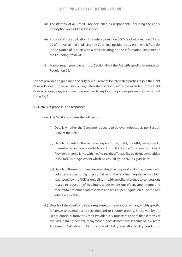- (d) The identity of all Credit Providers cited as respondents including the entity description and address for service.
- (e) Purpose of the application. This refers to Section 86(7) read with Section 87 and 79 of the Act aimed at placing the Court in a position to assess the relief sought in the Notice of Motion with a direct bearing on the information contained in the Founding Affidavit.
- (f) Formal requirement in terms of Section 86 of the Act with specific reference to Regulation 24.

The Act provides no guidance or clarity or requirement for interested parties to join the Debt Review Process. However, should any interested person wish to be included in the Debt Review proceedings, such person is entitled to explore the joinder proceedings as set out in the MCA.

(10)Details of proposal and responses

- (a) This Section contains the following:
	- (i) Details whether the Consumer appears to be over-indebted as per Section 86(6) of the Act;
	- (ii) Details regarding the income, expenditures, debt, monthly repayments, interest rates and funds available for distribution by the Consumer(s) to Credit Providers in compliance with the Act and the affordability guidelines embedded in the Task Team Agreement which was issued by the NCR as guidelines;
	- (iii) Details of the method used in generating the proposal, including reference to voluntary restructuring rules contained in the Task Team Agreement – which was issued by the NCR as guidelines – with specific reference to concessions related to reduction of fees, interest rate, extensions of repayment terms and maximum prescribed interest rates and fees as per Regulation 42 of the Act, where applicable.
- (b) Details of the Credit Provider's response to the proposal if any with specific reference to acceptance or rejection and/or counter-proposals received by the Debt Counsellor from the Credit Provider. It is important to note that in terms of the Task Team Agreement, repayment proposals that solve in terms of Task Team Agreement Guidelines, which include eligibility and affordability conditions,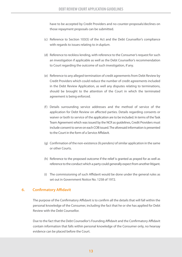have to be accepted by Credit Providers and no counter-proposals/declines on those repayment proposals can be submitted.

- (c) Reference to Section 103(5) of the Act and the Debt Counsellor's compliance with regards to issues relating to *in duplum*.
- (d) Reference to reckless lending, with reference to the Consumer's request for such an investigation if applicable as well as the Debt Counsellor's recommendation to Court regarding the outcome of such investigation, if any.
- (e) Reference to any alleged termination of credit agreements from Debt Review by Credit Providers which could reduce the number of credit agreements included in the Debt Review Application, as well any disputes relating to terminations, should be brought to the attention of the Court in which the terminated agreement is being enforced.
- (f) Details surrounding service addresses and the method of service of the application for Debt Review on affected parties. Details regarding consents or waiver or both to service of the application are to be included. In terms of the Task Team Agreement which was issued by the NCR as guidelines, Credit Providers must include consent to serve on each COB issued. The aforesaid information is presented to the Court in the form of a Service Affidavit.
- (g) Confirmation of the non-existence *(lis pendens)* of similar application in the same or other Courts.
- (h) Reference to the proposed outcome if the relief is granted as prayed for as well as reference to the conduct which a party could generally expect from another litigant.
- (i) The commissioning of such Affidavit would be done under the general rules as set out in Government Notice No. 1258 of 1972.

## **6. Confirmatory Affidavit**

The purpose of the Confirmatory Affidavit is to confirm all the details that will fall within the personal knowledge of the Consumer, including the fact that he or she has applied for Debt Review with the Debt Counsellor.

Due to the fact that the Debt Counsellor's Founding Affidavit and the Confirmatory Affidavit contain information that falls within personal knowledge of the Consumer only, no hearsay evidence can be placed before the Court.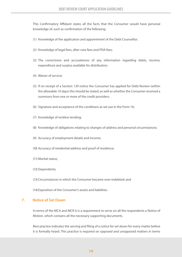This Confirmatory Affidavit states all the facts that the Consumer would have personal knowledge of, such as confirmation of the following:

- (1) Knowledge of the application and appointment of the Debt Counsellor;
- (2) Knowledge of legal fees, after-care fees and PDA fees;
- (3) The correctness and accurateness of any information regarding debts, income, expenditure and surplus available for distribution;
- (4) Waiver of service;
- (5) If on receipt of a Section 129 notice the Consumer has applied for Debt Review (within the allowable 10 days) this should be stated, as well as whether the Consumer received a summons from one or more of the credit providers;
- (6) Signature and acceptance of the conditions as set out in the Form 16;
- (7) Knowledge of reckless lending;
- (8) Knowledge of obligations relating to changes of address and personal circumstances;
- (9) Accuracy of employment details and income;
- (10) Accuracy of residential address and proof of residence;
- (11) Marital status;
- (12) Dependents;
- (13) Circumstances in which the Consumer became over-indebted; and
- (14)Exposition of the Consumer's assets and liabilities.

#### **7. Notice of Set Down**

In terms of the MCA and MCR it is a requirement to serve on all the respondents a Notice of Motion, which contains all the necessary supporting documents.

Best practice indicates the serving and filing of a notice for set down for every matter before it is formally heard. This practice is required on opposed and unopposed matters in terms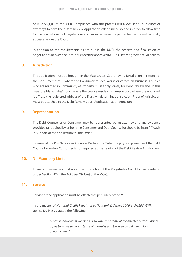of Rule 55(1)(f) of the MCR. Compliance with this process will allow Debt Counsellors or attorneys to have their Debt Review Applications filed timeously and in order to allow time for the finalisation of all negotiations and issues between the parties before the matter finally appears before the Court.

In addition to the requirements as set out in the MCR, the process and finalisation of negotiations between parties influenced the approved NCR Task Team Agreement Guidelines.

### **8. Jurisdiction**

The application must be brought in the Magistrates' Court having jurisdiction in respect of the Consumer; that is where the Consumer resides, works or carries on business. Couples who are married in Community of Property must apply jointly for Debt Review and, in this case, the Magistrates' Court where the couple resides has jurisdiction. Where the applicant is a Trust, the registered address of the Trust will determine Jurisdiction. Proof of jurisdiction must be attached to the Debt Review Court Application as an Annexure.

## **9. Representation**

The Debt Counsellor or Consumer may be represented by an attorney and any evidence provided or required by or from the Consumer and Debt Counsellor should be in an Affidavit in support of the application for the Order.

In terms of the *Van Der Hoven Attorneys* Declaratory Order the physical presence of the Debt Counsellor and/or Consumer is not required at the hearing of the Debt Review Application.

## **10. No Monetary Limit**

There is no monetary limit upon the jurisdiction of the Magistrates' Court to hear a referral under Section 87 of the Act ((Sec 29(1)(e) of the MCA).

## **11. Service**

Service of the application must be effected as per Rule 9 of the MCR.

In the matter of *National Credit Regulator vs Nedbank & Others 2009(6) SA 295 (GNP)*, Justice Du Plessis stated the following:

> *"There is, however, no reason in law why all or some of the affected parties cannot agree to waive service in terms of the Rules and to agree on a different form of notification."*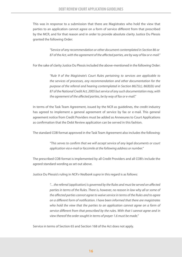This was in response to a submission that there are Magistrates who hold the view that parties to an application cannot agree on a form of service different from that prescribed by the MCR, and for that reason and in order to provide absolute clarity Justice Du Plessis granted the following Order:

> *"Service of any recommendation or other document contemplated in Section 86 or 87 of the Act, with the agreement of the affected parties, are by way of fax or e-mail."*

For the sake of clarity Justice Du Plessis included the above-mentioned in the following Order:

 *"Rule 9 of the Magistrate's Court Rules pertaining to services are applicable to the services of processes, any recommendation and other documentation for the purpose of the referral and hearing contemplated in Section 86(7)(c), 86(8)(b) and 87 of the National Credit Act, 2005 but service of any such documentation may, with the agreement of the affected parties, be by way of fax or e-mail."* 

In terms of the Task Team Agreement, issued by the NCR as guidelines, the credit industry has agreed to implement a general agreement of service by fax or e-mail. This general agreement notice from Credit Providers must be added as Annexures to Court Applications as confirmation that the Debt Review application can be served in this fashion.

The standard COB format approved in the Task Team Agreement also includes the following:

 *"This serves to confirm that we will accept service of any legal documents or court application via e-mail or facsimile at the following address or number."*

The prescribed COB format is implemented by all Credit Providers and all COB's include the agreed standard wording as set out above.

Justice Du Plessis's ruling in *NCR v Nedbank supra* in this regard is as follows:

 *"…the referral (application) is governed by the Rules and must be served on affected parties in terms of the Rules. There is, however, no reason in law why all or some of the affected parties cannot agree to waive service in terms of the Rules and to agree on a different form of notification. I have been informed that there are magistrates who hold the view that the parties to an application cannot agree on a form of service different from that prescribed by the rules. With that I cannot agree and in view thereof the order sought in terms of prayer 1.6 must be made."*

Service in terms of Section 65 and Section 168 of the Act does not apply.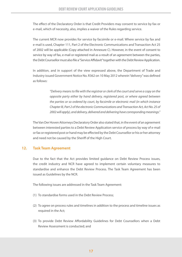The effect of the Declaratory Order is that Credit Providers may consent to service by fax or e-mail, which of necessity, also, implies a waiver of the Rules regarding service.

The current MCR now provides for service by facsimile or e-mail. Where service by fax and e-mail is used, Chapter 111, Part 2 of the Electronic Communications and Transaction Act 25 of 2002 will be applicable (Copy attached in Annexure C). However, in the event of consent to service by way of fax, e-mail or registered mail as a result of an agreement between the parties, the Debt Counsellor must also file a "Service Affidavit" together with the Debt Review Application.

In addition, and in support of the view expressed above, the Department of Trade and Industry issued Government Notice No. R362 on 10 May 2012 wherein "delivery" was defined as follows:

> *"Delivery means to file with the registrar or clerk of the court and serve a copy on the opposite party either by hand delivery, registered post, or where agreed between the parties or so ordered by court, by facsimile or electronic mail (in which instance Chapter III, Part 2 of the electronic Communications and Transaction Act, Act No. 25 of 2002 will apply), and delivery, delivered and delivering have corresponding meanings."*

The Van Der Hoven Attorneys Declaratory Order also stated that, in the event of an agreement between interested parties to a Debt Review Application service of process by way of e-mail or fax or registered post or hand may be effected by the Debt Counsellor or his or her attorney and need not be caused by the Sheriff of the High Court.

## **12. Task Team Agreement**

Due to the fact that the Act provides limited guidance on Debt Review Process issues, the credit industry and NCR have agreed to implement certain voluntary measures to standardise and enhance the Debt Review Process. The Task Team Agreement has been issued as Guidelines by the NCR.

The following issues are addressed in the Task Team Agreement:

- (1) To standardise forms used in the Debt Review Process;
- (2) To agree on process rules and timelines in addition to the process and timeline issues as required in the Act;
- (3) To provide Debt Review Affordability Guidelines for Debt Counsellors when a Debt Review Assessment is conducted; and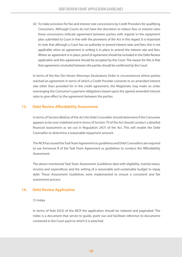(4) To make provision for fee and interest rate concessions by Credit Providers for qualifying Consumers. Although Courts do not have the discretion to reduce fees or interest rates these concessions indicate agreement between parties with regards to the repayment plan submitted to Court in line with the provisions of the Act in this regard. It is important to note that although a Court has no authority to amend interest rates and fees; this is not applicable when an agreement in writing is in place to amend the interest rate and fees. Where an agreement is in place, proof of agreement should be included in the Debt Review application and this agreement should be accepted by the Court. The reason for this is that that agreement concluded between the parties should be confirmed by the Court.

In terms of the Van Der Hoven Attorneys Declaratory Order in circumstances where parties reached an agreement in terms of which a Credit Provider consents to an amended interest rate other than provided for in the credit agreement, the Magistrate may make an order rearranging the Consumer's payment obligations based upon the agreed amended interest rates to give effect to the agreement between the parties.

## **13. Debt Review Affordability Assessment**

In terms of Section 86(6)(a) of the Act the Debt Counsellor should determine if the Consumer appears to be over-indebted and in terms of Section 79 of the Act should conduct a detailed financial assessment as set out in Regulation 24(7) of the Act. This will enable the Debt Counsellor to determine a reasonable repayment amount.

The NCR has issued the Task Team Agreement as guidelines and Debt Counsellors are required to use Annexure B of the Task Team Agreement as guidelines to conduct the Affordability Assessment.

The above-mentioned Task Team Assessment Guidelines deal with eligibility, marital status, income and expenditure and the setting of a reasonable and sustainable budget to repay debt. These Assessment Guidelines were implemented to ensure a consistent and fair assessment process.

## **14. Debt Review Application**

#### (1) Index

In terms of Rule 63(3) of the MCR the application should be indexed and paginated. The index is a document that serves to guide, point out and facilitate reference to documents contained in the Court pack to which it is attached.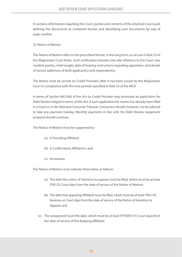It contains information regarding the Court, parties and contents of the attached Court pack defining the documents as contained therein and identifying such documents by way of page number.

#### (2) Notice of Motion

The Notice of Motion refers to the prescribed format, in the long form, as set out in Rule 55 of the Magistrates' Court Rules. Such notification includes *inter alia* reference to the Court case number, parties, relief sought, date of hearing, instructions regarding opposition, and details of service addresses of both applicant(s) and respondent(s).

The Notice must be served on Credit Providers after it has been issued by the Magistrates' Court in compliance with the time periods specified in Rule 55 of the MCR.

In terms of Section 86(10(b) of the Act no Credit Provider may terminate an application for Debt Review lodged in terms of this Act, if such application for review has already been filed in a Court or in the National Consumer Tribunal. Consumers should, however, not be advised to take any payment holiday. Monthly payments in line with the Debt Review repayment proposal should continue.

The Notice of Motion must be supported by –

- (a) A Founding Affidavit;
- (b) A Confirmatory Affidavit/s; and
- (c) Annexures.

The Notice of Motion must indicate three dates as follows:

- (a) The date the notice of intention to oppose must be filed, which must be at least FIVE (5) Court days from the date of service of the Notice of Motion;
- (b) The date that opposing Affidavit must be filed, which must be at least TEN (10) business or Court days from the date of service of the Notice of Intention to Oppose; and
- (c) The unopposed Court file date, which must be at least FIFTEEN (15) Court days from the date of service of the Replying Affidavit.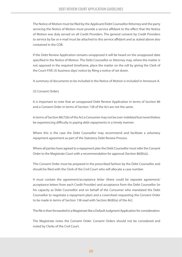The Notice of Motion must be filed by the Applicant/Debt Counsellor/Attorney and the party servicing the Notice of Motion must provide a service affidavit to the effect that the Notice of Motion was duly served on all Credit Providers. The general consent by Credit Providers to service by fax or e-mail must be attached to this service affidavit and as stated above also contained in the COB.

If the Debt Review Application remains unopposed it will be heard on the unopposed date specified in the Notice of Motion. The Debt Counsellor or Attorney may, where the matter is not opposed in the required timeframe, place the matter on the roll by giving the Clerk of the Court FIVE (5) business days' notice by filing a notice of set down.

A summary of documents to be included in the Notice of Motion is included in Annexure A.

(3) Consent Orders

It is important to note that an unopposed Debt Review Application in terms of Section 86 and a Consent Order in terms of Section 138 of the Act are not the same.

In terms of Section 86(7)(b) of the Act a Consumer may not be over-indebted but nevertheless be experiencing difficulty in paying debt repayments in a timely manner.

Where this is the case the Debt Counsellor may recommend and facilitate a voluntary repayment agreement as part of the Statutory Debt Review Process.

Where all parties have agreed to a repayment plan the Debt Counsellor must refer the Consent Order to the Magistrate Court with a recommendation for approval (Section 86(8)(a)).

This Consent Order must be prepared in the prescribed fashion by the Debt Counsellor and should be filed with the Clerk of the Civil Court who will allocate a case number.

It must contain the agreement/acceptance letter (there could be separate agreement/ acceptance letters from each Credit Provider) and acceptance from the Debt Counsellor (in his capacity as Debt Counsellor and on behalf of the Consumer who mandated the Debt Counsellor to negotiate a repayment plan) and a coversheet requesting the Consent Order to be made in terms of Section 138 read with Section 86(8)(a) of the Act.

The file is then forwarded to a Magistrate like a Default Judgment Application for consideration.

The Magistrate notes the Consent Order. Consent Orders should not be considered and noted by Clerks of the Civil Court.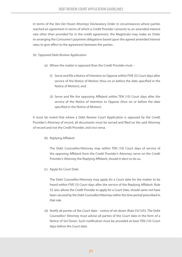In terms of the *Van Der Hoven Attorneys* Declaratory Order in circumstances where parties reached an agreement in terms of which a Credit Provider consents to an amended interest rate other than provided for in the credit agreement, the Magistrate may make an Order re-arranging the Consumer's payment obligations based upon the agreed amended interest rates to give effect to the agreement between the parties.

(4) Opposed Debt Review Application

- (a) Where the matter is opposed then the Credit Provider must
	- (i) Serve and file a Notice of Intention to Oppose within FIVE (5) Court days after service of the Notice of Motion (thus on or before the date specified in the Notice of Motion); and
	- (ii) Serve and file the opposing Affidavit within TEN (10) Court days after the service of the Notice of Intention to Oppose (thus on or before the date specified in the Notice of Motion).

It must be noted that where a Debt Review Court Application is opposed by the Credit Provider's Attorney of record, all documents must be served and filed on the said Attorney of record and not the Credit Provider, and vice versa.

(b) Replying Affidavit

 The Debt Counsellor/Attorney may within TEN (10) Court days of service of the opposing Affidavit from the Credit Provider's Attorney, serve on the Credit Provider's Attorney the Replying Affidavit, should it elect to do so.

(c) Apply for Court Date

 The Debt Counsellor/Attorney may apply for a Court date for the matter to be heard within FIVE (5) Court days after the service of the Replying Affidavit. Rule 55 also allows the Credit Provider to apply for a Court Date, should same not have been secured by the Debt Counsellor/Attorney within the time period prescribed in that rule.

(d) Notify all parties of the Court date – notice of set down (Rule  $55(1)(f)$ ). The Debt Counsellor/ Attorney must advise all parties of the Court date in the form of a Notice of Set Down. Such notification must be provided at least TEN (10) Court days before the Court date.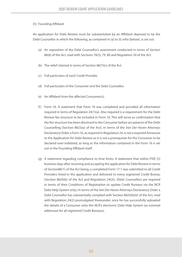#### (5) Founding Affidavit

An application for Debt Review must be substantiated by an Affidavit deposed to by the Debt Counsellor in which the following, as contained in (a) to (t) *infra* (below), is set out.

- (a) An exposition of the Debt Counsellor's assessment conducted in terms of Section 86(6) of the Act, read with Sections 78(3), 79, 80 and Regulation 24 of the Act.
- (b) The relief claimed in terms of Section 86(7)(c) of the Act.
- (c) Full particulars of each Credit Provider.
- (d) Full particulars of the Consumer and the Debt Counsellor.
- (e) An Affidavit from the affected Consumer(s).
- (f) Form 16. A statement that Form 16 was completed and provided all information required in terms of Regulation 24(1)(a). Also required is a requirement for the Debt Review fee structure to be included in Form 16. This will serve as confirmation that the fee structure has been disclosed to the Consumer before acceptance of the Debt Counselling (Section 86(3)(a) of the Act). In terms of the *Van Der Hoven Attorneys*  Declaratory Order a Form 16, as required in Regulation 24, is not a required Annexure to the Application for Debt Review as it is not a prerequisite for the Consumer to be declared over-indebted, as long as the information contained in the Form 16 is set out in the Founding Affidavit itself.
- (g) A statement regarding compliance to time limits. A statement that within FIVE (5) business days after receiving and accepting the application for Debt Review in terms of Section86(1) of the Act being, a completed Form 17.1 was submitted to all Credit Providers listed in the application and delivered to every registered Credit Bureau (Section 86(4)(b) of the Act and Regulation 24(2)). (Debt Counsellors are required in terms of their Conditions of Registration to update Credit Bureaus via the NCR Debt Help System only.) In terms of the *Van Der Hoven Attorneys* Declaratory Order a Debt Counsellor has substantially complied with Section 86(4)(b)(ii) of the Act, read with Regulation 24(2) promulgated thereunder, once he has successfully uploaded the details of a Consumer onto the NCR's electronic Debt Help System (as nominal addressee for all registered Credit Bureaus).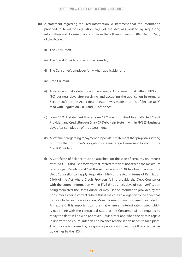- (h) A statement regarding required information. A statement that the information provided in terms of Regulation 24(1) of the Act was verified by requesting information and documentary proof from the following persons: (Regulation 24(3) of the Act), e.g.
	- (i) The Consumer;
	- (ii) The Credit Providers listed in the Form 16;
	- (iii) The Consumer's employer (only when applicable); and
	- (iv) Credit Bureau.
	- (i) A statement that a determination was made. A statement that within THIRTY (30) business days after receiving and accepting the application in terms of Section 86(1) of the Act, a determination was made in terms of Section 86(6) read with Regulation 24(7) and (8) of the Act.
	- (j) Form 17.2. A statement that a Form 17.2 was submitted to all affected Credit Providers and Credit Bureaus (via NCR Debt Help System) within FIVE (5) business days after completion of the assessment.
	- (k) A statement regarding repayment proposals. A statement that proposals setting out how the Consumer's obligations are rearranged were sent to each of the Credit Providers.
	- (l) A Certificate of Balance must be attached, for the sake of certainty on interest rates. A COB is also used to verify that interest rate does not exceed the maximum rates as per Regulation 42 of the Act. Where no COB has been received the Debt Counsellor can apply Regulation 24(4) of the Act. In terms of Regulation 24(4) of the Act where Credit Providers fail to provide the Debt Counsellor with the correct information within FIVE (5) business days of such verification being requested, the Debt Counsellor may use the information provided by the Consumer as being correct. Where this is the case an allegation to the effect has to be included in the application. More information on this issue is included in Annexure C. It is important to note that where an interest rate is used which is not in line with the contractual rate that the Consumer will be required to repay the debt in line with approved Court Order and when the debt is repaid in line with the Court Order an end balance reconciliation needs to take place. This process is covered by a separate process approved by CIF and issued as guidelines by the NCR.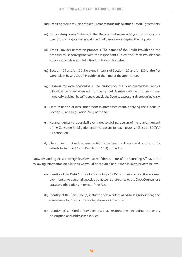- (m) Credit Agreements. It is not a requirement to include or attach Credit Agreements.
- (n) Proposal responses. Statements that the proposal was rejected, or that no response was forthcoming, or that not all the Credit Providers accepted the proposal.
- (o) Credit Provider names on proposals. The names of the Credit Provider on the proposal must correspond with the respondent's unless the Credit Provider has appointed an Agent to fulfil this function on his behalf.
- (p) Section 129 and/or 130. No steps in terms of Section 129 and/or 130 of the Act were taken by any Credit Provider at the time of the application.
- (q) Reasons for over-indebtedness. The reasons for the over-indebtedness and/or difficulties being experienced must be set out. A mere statement of being overindebted would not be sufficient to enable the Court to exercise its discretion judicially.
- (r) Determination of over-indebtedness after assessment, applying the criteria in Section 79 and Regulation 24(7) of the Act.
- (s) Re-arrangement proposals. If over-indebted, full particulars of the re-arrangement of the Consumer's obligation and the reasons for each proposal (Section 86(7)(c) (ii) of the Act).
- (t) Determination: Credit agreement(s) be declared reckless credit, applying the criteria in Section 80 and Regulation 24(8) of the Act.

Notwithstanding the above high level overview of the contents of the Founding Affidavit, the following information on a lower level would be required as outlined in (a) to (r) *infra* (below).

- (a) Identity of the Debt Counsellor including NCR DC number and practice address, averment as to personal knowledge, as well as reference to the Debt Counsellor's statutory obligations in terms of the Act.
- (b) Identity of the Consumer(s) including sex, residential address (jurisdiction) and a reference to proof of these allegations as Annexures.
- (c) Identity of all Credit Providers cited as respondents including the entity description and address for service.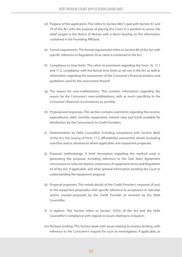- (d) Purpose of the application. This refers to Section 86(7) read with Section 87 and 79 of the Act with the purpose of placing the Court in a position to assess the relief sought in the Notice of Motion with a direct bearing on the information contained in the Founding Affidavit.
- (e) Formal requirement. The formal requirement refers to Section 86 of the Act with specific reference to Regulation 24 as same is contained in the Act.
- (f) Compliance to time limits. This refers to averments regarding the Form 16, 17.1 and 17.2, compliance with the formal time limits as set out in the Act as well as information regarding the assessment of the Consumer's financial position and guidelines used for the assessment thereof.
- (g) The reason for over-indebtedness. This contains information regarding the reason for the Consumer's over-indebtedness, with as much specificity to the Consumer's financial circumstances as possible.
- (h) Proposal and responses. This section contains averments regarding the income, expenditures, debt, monthly repayments, interest rates and funds available for distribution by the Consumer(s) to Credit Providers.
- (i) Determination by Debt Counsellor, including compliance with Section 86(6) of the Act, the issuing of Form 17.2, affordability assessment details (including overtime and/or allowances where applicable) and repayment proposals.
- (j) Proposal methodology. A brief description regarding the method used in generating the proposal, including reference to the Task Team Agreement concessions to reduced interest, extensions of repayment terms and Regulation 42 of the Act, if applicable, and other general information assisting the Court in understanding the repayment proposal.
- (k) Proposal responses. This entails details of the Credit Provider's response (if any) to the repayment proposal(s) with specific reference to acceptance or rejection and/or counter-proposals by the Credit Provider as received by the Debt Counsellor.
- (l) *In duplum*. This Section refers to Section 103(5) of the Act and the Debt Counsellor's compliance with regards to issues relating to *in duplum*.
- (m) Reckless lending. This Section deals with issues relating to reckless lending, with reference to the Consumer's request for such an investigation, if applicable, as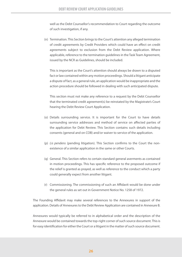well as the Debt Counsellor's recommendation to Court regarding the outcome of such investigation, if any.

 (n) Termination. This Section brings to the Court's attention any alleged termination of credit agreements by Credit Providers which could have an effect on credit agreements subject to exclusion from the Debt Review application. Where applicable, reference to the termination guidelines in the Task Team Agreement, issued by the NCR as Guidelines, should be included.

 This is important as the Court's attention should always be drawn to a disputed fact or law contained within any motion proceedings. Should a litigant anticipate a dispute of fact, as a general rule, an application would be inappropriate and the action procedure should be followed in dealing with such anticipated dispute.

 This section must not make any reference to a request by the Debt Counsellor that the terminated credit agreement(s) be reinstated by the Magistrate's Court hearing the Debt Review Court Application.

- (o) Details surrounding service. It is important for the Court to have details surrounding service addresses and method of service on affected parties of the application for Debt Review. This Section contains such details including consents (general and on COB) and/or waiver to service of the application.
- (p) *Lis pendens* (pending litigation). This Section confirms to the Court the nonexistence of a similar application in the same or other Courts.
- (q) General. This Section refers to certain standard general averments as contained in motion proceedings. This has specific reference to the proposed outcome if the relief is granted as prayed, as well as reference to the conduct which a party could generally expect from another litigant.
- (r) Commissioning. The commissioning of such an Affidavit would be done under the general rules as set out in Government Notice No. 1258 of 1972.

The Founding Affidavit may make several references to the Annexures in support of the application. Details of Annexures to the Debt Review Application are contained in Annexure B.

Annexures would typically be referred to in alphabetical order and the description of the Annexure would be contained towards the top-right corner of such source document. This is for easy identification for either the Court or a litigant in the matter of such source document.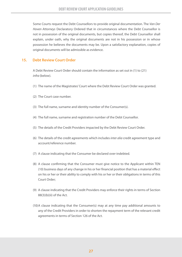Some Courts request the Debt Counsellors to provide original documentation. The *Van Der Hoven Attorneys* Declaratory Ordered that in circumstances where the Debt Counsellor is not in possession of the original documents, but copies thereof, the Debt Counsellor shall explain, under oath, why the original documents are not in his possession or in whose possession he believes the documents may be. Upon a satisfactory explanation, copies of original documents will be admissible as evidence.

## **15. Debt Review Court Order**

A Debt Review Court Order should contain the information as set out in (1) to (21) *infra* (below).

- (1) The name of the Magistrates' Court where the Debt Review Court Order was granted.
- (2) The Court case number.
- (3) The full name, surname and identity number of the Consumer(s).
- (4) The full name, surname and registration number of the Debt Counsellor.
- (5) The details of the Credit Providers impacted by the Debt Review Court Order.
- (6) The details of the credit agreements which includes *inter alia* credit agreement type and account/reference number.
- (7) A clause indicating that the Consumer be declared over-indebted.
- (8) A clause confirming that the Consumer must give notice to the Applicant within TEN (10) business days of any change in his or her financial position that has a material effect on his or her or their ability to comply with his or her or their obligations in terms of this Court Order;
- (9) A clause indicating that the Credit Providers may enforce their rights in terms of Section 88(3)(b)(ii) of the Act.
- (10) A clause indicating that the Consumer(s) may at any time pay additional amounts to any of the Credit Providers in order to shorten the repayment term of the relevant credit agreements in terms of Section 126 of the Act.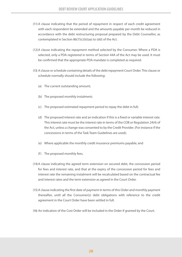- (11) A clause indicating that the period of repayment in respect of each credit agreement with each respondent be extended and the amounts payable per month be reduced in accordance with the debt restructuring proposal prepared by the Debt Counsellor, as contemplated in Section 86(7)(c)(ii)(aa) to (dd) of the Act.
- (12) A clause indicating the repayment method selected by the Consumer. Where a PDA is selected, only a PDA registered in terms of Section 44A of the Act may be used. It must be confirmed that the appropriate PDA mandate is completed as required.
- (13) A clause or schedule containing details of the debt repayment Court Order. This clause or schedule normally should include the following:
	- (a) The current outstanding amount;
	- (b) The proposed monthly instalment;
	- (c) The proposed estimated repayment period to repay the debt in full;
	- (d) The proposed interest rate and an indication if this is a fixed or variable interest rate. This interest rate must be the interest rate in terms of the COB or Regulation 24(4) of the Act, unless a change was consented to by the Credit Provider. (For instance if the concessions in terms of the Task Team Guidelines are used);
	- (e) Where applicable the monthly credit insurance premiums payable; and
	- (f) The proposed monthly fees.
- (14) A clause indicating the agreed term extension on secured debt, the concession period for fees and interest rate, and that at the expiry of the concession period for fees and interest rate the remaining instalment will be recalculated based on the contractual fee and interest rates and the term extension as agreed in the Court Order.
- (15) A clause indicating the first date of payment in terms of this Order and monthly payment thereafter, until all the Consumer(s) debt obligations with reference to the credit agreement in the Court Order have been settled in full.
- (16) An indication of the Cost Order will be included in the Order if granted by the Court.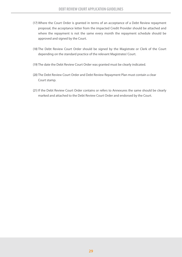- (17) Where the Court Order is granted in terms of an acceptance of a Debt Review repayment proposal, the acceptance letter from the impacted Credit Provider should be attached and where the repayment is not the same every month the repayment schedule should be approved and signed by the Court.
- (18) The Debt Review Court Order should be signed by the Magistrate or Clerk of the Court depending on the standard practice of the relevant Magistrates' Court.
- (19) The date the Debt Review Court Order was granted must be clearly indicated.
- (20) The Debt Review Court Order and Debt Review Repayment Plan must contain a clear Court stamp.
- (21) If the Debt Review Court Order contains or refers to Annexures the same should be clearly marked and attached to the Debt Review Court Order and endorsed by the Court.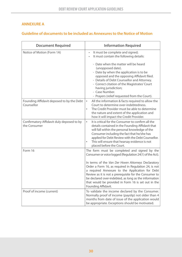## **ANNEXURE A**

## **Guideline of documents to be included as Annexures to the Notice of Motion**

| <b>Document Required</b>                                  | <b>Information Required</b>                                                                                                                                                                                                                                                                                                                                         |
|-----------------------------------------------------------|---------------------------------------------------------------------------------------------------------------------------------------------------------------------------------------------------------------------------------------------------------------------------------------------------------------------------------------------------------------------|
| Notice of Motion (Form 1A)                                | It must be complete and signed;<br>$\bullet$<br>It must contain the following details:                                                                                                                                                                                                                                                                              |
|                                                           | - Date when the matter will be heard<br>(unopposed date).<br>- Date by when the application is to be<br>opposed and the opposing Affidavit filed.<br>- Details of Debt Counsellor and Attorney.<br>- Correct citation of the Magistrates' Court<br>having jurisdiction;<br>- Case Number.<br>- Prayers (relief requested from the Court).                           |
| Founding Affidavit deposed to by the Debt<br>Counsellor   | All the information & facts required to allow the<br>$\bullet$<br>Court to determine over-indebtedness.<br>The Credit Provider must be able to determine<br>$\bullet$<br>the nature and extent of the application and<br>how it will impact the Credit Provider.                                                                                                    |
| Confirmatory Affidavit duly deposed to by<br>the Consumer | It is critical for the Consumer to confirm all the<br>$\bullet$<br>details contained in the Founding Affidavit that<br>will fall within the personal knowledge of the<br>Consumer including the fact that he/she has<br>applied for Debt Review with the Debt Counsellor.<br>This will ensure that hearsay evidence is not<br>$\bullet$<br>placed before the Court. |
| Form 16                                                   | The form must be completed and signed by the<br>Consumer or voice logged (Regulation 24(1) of the Act).                                                                                                                                                                                                                                                             |
|                                                           | In terms of the Van Der Hoven Attorneys Declaratory<br>Order a Form 16, as required in Regulation 24, is not<br>a required Annexure to the Application for Debt<br>Review as it is not a prerequisite for the Consumer to<br>be declared over-indebted, as long as the information<br>that would be provided in Form 16 is set out in the<br>Founding Affidavit.    |
| Proof of income (current)                                 | To validate the income declared by the Consumer.<br>Normally proof of income (payslip) not older than 4<br>months from date of issue of the application would<br>be appropriate. Exceptions should be motivated.                                                                                                                                                    |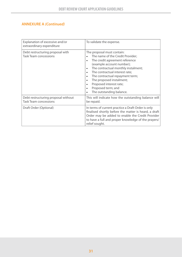## **ANNEXURE A** *(Continued)*

| Explanation of excessive and/or<br>extraordinary expenditure        | To validate the expense.                                                                                                                                                                                                                                                                                                                                             |
|---------------------------------------------------------------------|----------------------------------------------------------------------------------------------------------------------------------------------------------------------------------------------------------------------------------------------------------------------------------------------------------------------------------------------------------------------|
| Debt restructuring proposal with<br><b>Task Team concessions</b>    | The proposal must contain:<br>The name of the Credit Provider;<br>The credit agreement reference<br>٠<br>(example account number);<br>The contractual monthly instalment;<br>The contractual interest rate;<br>$\bullet$<br>The contractual repayment term;<br>The proposed instalment;<br>Proposed interest rate;<br>Proposed term; and<br>The outstanding balance. |
| Debt restructuring proposal without<br><b>Task Team concessions</b> | This will indicate how the outstanding balance will<br>be repaid.                                                                                                                                                                                                                                                                                                    |
| Draft Order (Optional)                                              | In terms of current practice a Draft Order is only<br>finalised shortly before the matter is heard, a draft<br>Order may be added to enable the Credit Provider<br>to have a full and proper knowledge of the prayers/<br>relief sought.                                                                                                                             |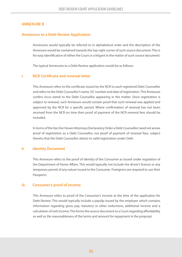## **ANNEXURE B**

## **Annexures to a Debt Review Application**

Annexures would typically be referred to in alphabetical order and the description of the Annexure would be contained towards the top-right corner of such source document. This is for easy identification of either the Court or a litigant in the matter of such source document.

The typical Annexures to a Debt Review application would be as follows:

#### **i. NCR Certificate and renewal letter**

This Annexure refers to the certificate issued by the NCR to each registered Debt Counsellor and refers to the Debt Counsellor's name, DC number and date of registration. This Annexure confers *locus standi* to the Debt Counsellor appearing in the matter. Since registration is subject to renewal, such Annexure would contain proof that such renewal was applied and approved by the NCR for a specific period. Where confirmation of renewal has not been received from the NCR on time then proof of payment of the NCR renewal fees should be included.

In terms of the Van Der Hoven Attorneys Declaratory Order a Debt Counsellor need not annex proof of registration as a Debt Counsellor, nor proof of payment of renewal fees, subject thereto that the Debt Counsellor attests to valid registration under Oath.

#### **ii. Identity Document**

This Annexure refers to the proof of identity of the Consumer as issued under regulation of the Department of Home Affairs. This would typically not include the driver's licence or any temporary permit of any nature issued to the Consumer. Foreigners are required to use their Passports.

#### **iii. Consumer's proof of income**

This Annexure refers to proof of the Consumer's income at the time of the application for Debt Review. This would typically include a payslip issued by the employer which contains information regarding gross pay, statutory or other reductions, additional income and a calculation of nett income. This forms the source document to a Court regarding affordability as well as the reasonableness of the terms and amount for repayment in the proposal.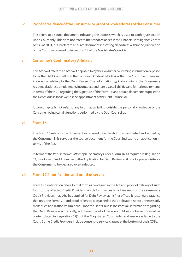## **iv. Proof of residence of the Consumer or proof of work address of the Consumer**

This refers to a source document indicating the address which is used to confer jurisdiction upon Court only. This does not refer to the standard as set in the Financial Intelligence Centre Act 38 of 2001, but it refers to a source document indicating an address within the jurisdiction of the Court, as referred to in Section 28 of the Magistrates' Court Act.

### **v. Consumer's Confirmatory Affidavit**

This Affidavit refers to an Affidavit deposed to by the Consumer confirming information deposed to by the Debt Counsellor in the Founding Affidavit which is within the Consumer's personal knowledge relating to the Debt Review. The information typically contains the Consumer's residential address, employment, income, expenditure, assets, liabilities and formal requirements in terms of the NCA regarding the signature of the Form 16 and source documents supplied to the Debt Counsellor as well as the appointment of the Debt Counsellor.

It would typically not refer to any information falling outside the personal knowledge of the Consumer, being certain functions performed by the Debt Counsellor.

#### **vi. Form 16**

The Form 16 refers to the document as referred to in the Act duly completed and signed by the Consumer. This serves as the source document for the Court indicating an application in terms of the Act.

In terms of the *Van Der Hoven Attorneys* Declaratory Order a Form 16, as required in Regulation 24, is not a required Annexure to the Application for Debt Review as it is not a prerequisite for the Consumer to be declared over-indebted.

## **vii. Form 17.1 notification and proof of service**

Form 17.1 notification refers to that form as contained in the Act and proof of delivery of such form to the affected Credit Providers, which form serves to advise each of the Consumer's Credit Providers that s/he has applied for Debt Review at his/her offices. It is standard practice that only one Form 17.1 and proof of service is attached to the application not to unnecessarily make such application voluminous. Since the Debt Counsellor stores all information regarding the Debt Review electronically, additional proof of service could easily be reproduced as contemplated in Regulation 55(3) of the Magistrates' Court Rules and made available to the Court. Some Credit Providers include consent to service clauses at the bottom of their COBs.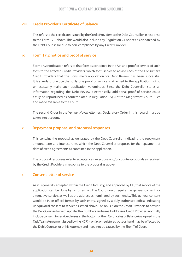## **viii. Credit Provider's Certificate of Balance**

This refers to the certificates issued by the Credit Providers to the Debt Counsellor in response to the Form 17.1 above. This would also include any Regulation 24 notices as dispatched by the Debt Counsellor due to non-compliance by any Credit Provider.

### **ix. Form 17.2 notice and proof of service**

Form 17.2 notification refers to that form as contained in the Act and proof of service of such form to the affected Credit Providers, which form serves to advise each of the Consumer's Credit Providers that the Consumer's application for Debt Review has been successful. It is standard practice that only one proof of service is attached to the application not to unnecessarily make such application voluminous. Since the Debt Counsellor stores all information regarding the Debt Review electronically, additional proof of service could easily be reproduced as contemplated in Regulation 55(3) of the Magistrates' Court Rules and made available to the Court.

The second Order in the *Van der Hoven Attorneys* Declaratory Order in this regard must be taken into account.

#### **x. Repayment proposal and proposal responses**

This contains the proposal as generated by the Debt Counsellor indicating the repayment amount, term and interest rates, which the Debt Counsellor proposes for the repayment of debt of credit agreements as contained in the application.

The proposal responses refer to acceptances, rejections and/or counter-proposals as received by the Credit Providers in response to the proposal as above.

## **xi. Consent letter of service**

As it is generally accepted within the Credit Industry, and approved by CIF, that service of the application can be done by fax or e-mail. The Court would require the general consent for alternative service, as well as the address as nominated by such entity. This general consent would be in an official format by such entity, signed by a duly authorised official indicating unequivocal consent to service as stated above. The onus is on the Credit Providers to provide the Debt Counsellor with updated fax numbers and e-mail addresses. Credit Providers normally include consent to service clauses at the bottom of their Certificates of Balance (as agreed in the Task Team Agreement issued by the NCR) – or fax or registered post or hand may be effected by the Debit Counsellor or his Attorney and need not be caused by the Sheriff of Court.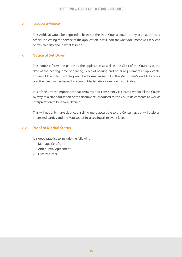## **xii. Service Affidavit**

This Affidavit would be deposed to by either the Debt Counsellor/Attorney or an authorised official indicating the service of the application. It will indicate what document was serviced on which party and in what fashion.

### **xiii. Notice of Set Down**

This notice informs the parties to the application as well as the Clerk of the Court as to the date of the hearing, time of hearing, place of hearing and other requirements if applicable. This would be in terms of the prescribed format as set out in the Magistrates' Court Act and/or practice directives as issued by a Senior Magistrate for a region if applicable.

It is of the utmost importance that certainty and consistency is created within all the Courts by way of a standardisation of the documents produced to the Court, its contents as well as interpretation to be clearly defined.

This will not only make debt counselling more accessible to the Consumer, but will assist all interested parties and the Magistrates in accessing all relevant facts.

## **xiv. Proof of Marital Status**

It is good practice to include the following:

- Marriage Certificate
- Antenuptial Agreement
- Divorce Order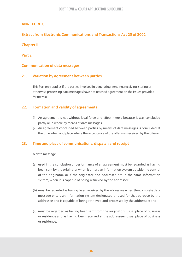## **ANNEXURE C**

## **Extract from Electronic Communications and Transactions Act 25 of 2002**

## **Chapter III**

**Part 2**

## **Communication of data messages**

## **21. Variation by agreement between parties**

This Part only applies if the parties involved in generating, sending, receiving, storing or otherwise processing data messages have not reached agreement on the issues provided for therein.

## **22. Formation and validity of agreements**

- (1) An agreement is not without legal force and effect merely because it was concluded partly or in whole by means of data messages.
- (2) An agreement concluded between parties by means of data messages is concluded at the time when and place where the acceptance of the offer was received by the offeror.

## **23. Time and place of communications, dispatch and receipt**

A data message –

- (a) used in the conclusion or performance of an agreement must be regarded as having been sent by the originator when it enters an information system outside the control of the originator, or if the originator and addressee are in the same information system, when it is capable of being retrieved by the addressee;
- (b) must be regarded as having been received by the addressee when the complete data message enters an information system designated or used for that purpose by the addressee and is capable of being retrieved and processed by the addressee; and
- (c) must be regarded as having been sent from the originator's usual place of business or residence and as having been received at the addressee's usual place of business or residence.